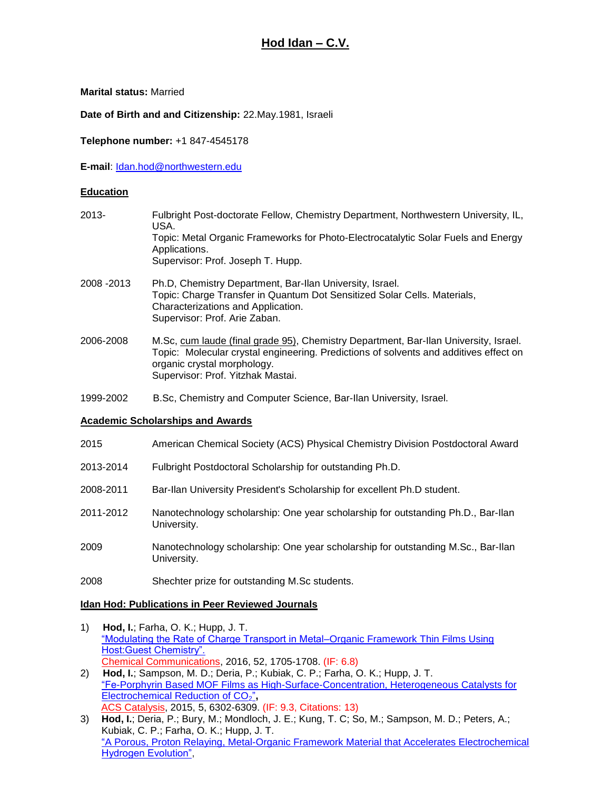# **Hod Idan – C.V.**

**Marital status:** Married

**Date of Birth and and Citizenship:** 22.May.1981, Israeli

Supervisor: Prof. Arie Zaban.

**Telephone number:** +1 847-4545178

**E-mail**: [Idan.hod@northwestern.edu](mailto:Idan.hod@northwestern.edu)

## **Education**

| $2013 -$    | Fulbright Post-doctorate Fellow, Chemistry Department, Northwestern University, IL,<br>USA.                                             |
|-------------|-----------------------------------------------------------------------------------------------------------------------------------------|
|             | Topic: Metal Organic Frameworks for Photo-Electrocatalytic Solar Fuels and Energy<br>Applications.<br>Supervisor: Prof. Joseph T. Hupp. |
| 2008 - 2013 | Ph.D, Chemistry Department, Bar-Ilan University, Israel.<br>Topic: Charge Transfer in Quantum Dot Sensitized Solar Cells. Materials,    |
|             | Characterizations and Application.                                                                                                      |

- 2006-2008 M.Sc, cum laude (final grade 95), Chemistry Department, Bar-Ilan University, Israel. Topic: Molecular crystal engineering. Predictions of solvents and additives effect on organic crystal morphology. Supervisor: Prof. Yitzhak Mastai.
- 1999-2002 B.Sc, Chemistry and Computer Science, Bar-Ilan University, Israel.

#### **Academic Scholarships and Awards**

- 2015 American Chemical Society (ACS) Physical Chemistry Division Postdoctoral Award
- 2013-2014 Fulbright Postdoctoral Scholarship for outstanding Ph.D.
- 2008-2011 Bar-Ilan University President's Scholarship for excellent Ph.D student.
- 2011-2012 Nanotechnology scholarship: One year scholarship for outstanding Ph.D., Bar-Ilan University.
- 2009 Nanotechnology scholarship: One year scholarship for outstanding M.Sc., Bar-Ilan University.
- 2008 Shechter prize for outstanding M.Sc students.

#### **Idan Hod: Publications in Peer Reviewed Journals**

- 1) **Hod, I.**; Farha, O. K.; Hupp, J. T. ["Modulating the Rate of Charge Transport in Metal–Organic Framework Thin Films Using](http://pubs.rsc.org/en/content/articlelanding/2015/CC/c5cc09695b#!divAbstract)  [Host:Guest Chemistry".](http://pubs.rsc.org/en/content/articlelanding/2015/CC/c5cc09695b#!divAbstract) Chemical Communications, 2016, 52, 1705-1708. (IF: 6.8)
- 2) **Hod, I.**; Sampson, M. D.; Deria, P.; Kubiak, C. P.; Farha, O. K.; Hupp, J. T. ["Fe-Porphyrin Based MOF Films as High-Surface-Concentration, Heterogeneous Catalysts for](http://pubs.acs.org/doi/abs/10.1021/acscatal.5b01767)  [Electrochemical Reduction of CO](http://pubs.acs.org/doi/abs/10.1021/acscatal.5b01767)<sub>2</sub>", ACS Catalysis, 2015, 5, 6302-6309. (IF: 9.3, Citations: 13)
- 3) **Hod, I.**; Deria, P.; Bury, M.; Mondloch, J. E.; Kung, T. C; So, M.; Sampson, M. D.; Peters, A.; Kubiak, C. P.; Farha, O. K.; Hupp, J. T. "A [Porous, Proton Relaying, Metal-Organic Framework Material that Accelerates Electrochemical](http://www.nature.com/ncomms/2015/150914/ncomms9304/full/ncomms9304.html)  [Hydrogen Evolution",](http://www.nature.com/ncomms/2015/150914/ncomms9304/full/ncomms9304.html)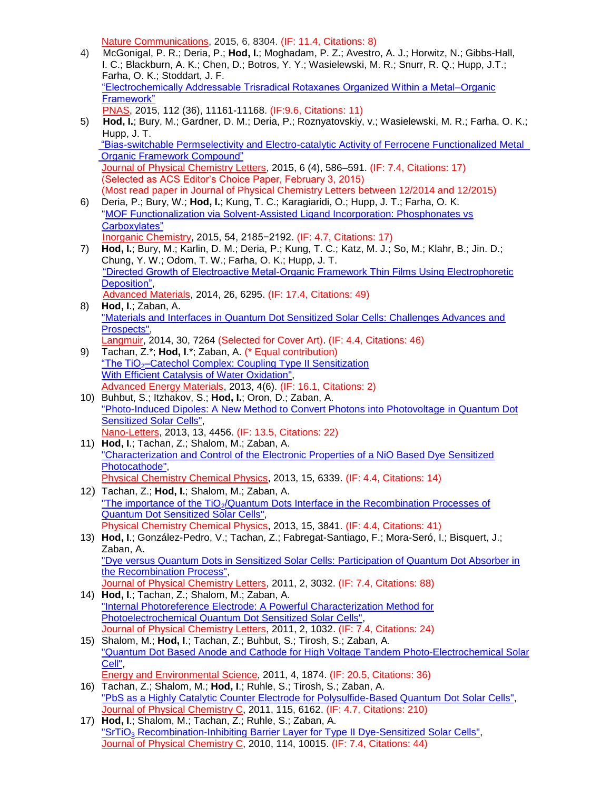Nature Communications, 2015, 6, 8304. (IF: 11.4, Citations: 8)

- 4) McGonigal, P. R.; Deria, P.; **Hod, I.**; Moghadam, P. Z.; Avestro, A. J.; Horwitz, N.; Gibbs-Hall, I. C.; Blackburn, A. K.; Chen, D.; Botros, Y. Y.; Wasielewski, M. R.; Snurr, R. Q.; Hupp, J.T.; Farha, O. K.; Stoddart, J. F. ["Electrochemically Addressable Trisradical Rotaxanes Organized Within a Metal–Organic](http://www.pnas.org/content/112/36/11161.full.pdf?sid=13c3719d-cfa8-4b3d-a847-6a46c2f7f4e1)  [Framework"](http://www.pnas.org/content/112/36/11161.full.pdf?sid=13c3719d-cfa8-4b3d-a847-6a46c2f7f4e1) PNAS, 2015, 112 (36), 11161-11168. (IF:9.6, Citations: 11)
- 5) **Hod, I.**; Bury, M.; Gardner, D. M.; Deria, P.; Roznyatovskiy, v.; Wasielewski, M. R.; Farha, O. K.; Hupp, J. T. ["Bias-switchable Permselectivity and Electro-catalytic Activity of Ferrocene Functionalized Metal](http://pubs.acs.org/doi/abs/10.1021/acs.jpclett.5b00019)  [Organic Framework Compound"](http://pubs.acs.org/doi/abs/10.1021/acs.jpclett.5b00019) Journal of Physical Chemistry Letters, 2015, 6 (4), 586–591. (IF: 7.4, Citations: 17) (Selected as ACS Editor's Choice Paper, February 3, 2015) (Most read paper in Journal of Physical Chemistry Letters between 12/2014 and 12/2015)
- 6) Deria, P.; Bury, W.; **Hod, I.**; Kung, T. C.; Karagiaridi, O.; Hupp, J. T.; Farha, O. K. ["MOF Functionalization via Solvent-Assisted Ligand Incorporation: Phosphonates vs](http://pubs.acs.org/doi/abs/10.1021/ic502639v)  [Carboxylates"](http://pubs.acs.org/doi/abs/10.1021/ic502639v)
- Inorganic Chemistry, 2015, 54, 2185−2192. (IF: 4.7, Citations: 17) 7) **Hod, I.**; Bury, M.; Karlin, D. M.; Deria, P.; Kung, T. C.; Katz, M. J.; So, M.; Klahr, B.; Jin. D.; Chung, Y. W.; Odom, T. W.; Farha, O. K.; Hupp, J. T. ["Directed Growth of Electroactive Metal-Organic Framework Thin Films Using Electrophoretic](http://onlinelibrary.wiley.com/doi/10.1002/adma.201401940/abstract)  [Deposition",](http://onlinelibrary.wiley.com/doi/10.1002/adma.201401940/abstract) Advanced Materials, 2014, 26, 6295. (IF: 17.4, Citations: 49)
- 8) **Hod, I**.; Zaban, A. ["Materials and Interfaces in Quantum Dot Sensitized Solar Cells: Challenges Advances and](http://pubs.acs.org/doi/abs/10.1021/la403768j)  [Prospects",](http://pubs.acs.org/doi/abs/10.1021/la403768j) Langmuir, 2014, 30, 7264 (Selected for Cover Art). (IF: 4.4, Citations: 46)
- 9) Tachan, Z.\*; **Hod, I**.\*; Zaban, A. (\* Equal contribution) "The TiO<sub>2</sub>[–Catechol Complex: Coupling Type II Sensitization](http://onlinelibrary.wiley.com/doi/10.1002/aenm.201301249/abstract) [With Efficient Catalysis of Water Oxidation",](http://onlinelibrary.wiley.com/doi/10.1002/aenm.201301249/abstract) Advanced Energy Materials, 2013, 4(6). (IF: 16.1, Citations: 2)
- 10) Buhbut, S.; Itzhakov, S.; **Hod, I.**; Oron, D.; Zaban, A. ["Photo-Induced Dipoles: A New Method to Convert Photons into Photovoltage](http://pubs.acs.org/doi/abs/10.1021/nl402360f) in Quantum Dot [Sensitized Solar Cells",](http://pubs.acs.org/doi/abs/10.1021/nl402360f) Nano-Letters, 2013, 13, 4456. (IF: 13.5, Citations: 22)
- 11) **Hod, I**.; Tachan, Z.; Shalom, M.; Zaban, A. ["Characterization and Control of the Electronic Properties of a NiO Based Dye Sensitized](http://pubs.rsc.org/en/Content/ArticleLanding/2013/CP/c3cp50242b#!divAbstract)  [Photocathode",](http://pubs.rsc.org/en/Content/ArticleLanding/2013/CP/c3cp50242b#!divAbstract) Physical Chemistry Chemical Physics, 2013, 15, 6339. (IF: 4.4, Citations: 14)
- 12) Tachan, Z.; **Hod, I.**; Shalom, M.; Zaban, A. "The importance of the TiO<sub>2</sub>/Quantum Dots Interface in the Recombination Processes of [Quantum Dot Sensitized Solar Cells",](http://pubs.rsc.org/en/Content/ArticleLanding/2013/CP/c3cp44719g#!divAbstract) Physical Chemistry Chemical Physics, 2013, 15, 3841. (IF: 4.4, Citations: 41)
- 13) **Hod, I**.; González-Pedro, V.; Tachan, Z.; Fabregat-Santiago, F.; Mora-Seró, I.; Bisquert, J.; Zaban, A. "Dye versus [Quantum Dots in Sensitized Solar Cells: Participation of Quantum Dot Absorber in](http://pubs.acs.org/doi/abs/10.1021/jz201417f)  [the Recombination Process",](http://pubs.acs.org/doi/abs/10.1021/jz201417f) Journal of Physical Chemistry Letters, 2011, 2, 3032. (IF: 7.4, Citations: 88)
- 14) **Hod, I**.; Tachan, Z.; Shalom, M.; Zaban, A. ["Internal Photoreference Electrode: A Powerful Characterization Method for](http://pubs.acs.org/doi/abs/10.1021/jz200399n)  [Photoelectrochemical Quantum Dot Sensitized Solar Cells",](http://pubs.acs.org/doi/abs/10.1021/jz200399n) Journal of Physical Chemistry Letters, 2011, 2, 1032. (IF: 7.4, Citations: 24)
- 15) Shalom, M.; **Hod, I**.; Tachan, Z.; Buhbut, S.; Tirosh, S.; Zaban, A. ["Quantum Dot Based Anode and Cathode for High Voltage Tandem Photo-Electrochemical Solar](http://pubs.rsc.org/en/content/articlelanding/ee/2011/c1ee01145f#!divAbstract)  [Cell",](http://pubs.rsc.org/en/content/articlelanding/ee/2011/c1ee01145f#!divAbstract) Energy and Environmental Science, 2011, 4, 1874. (IF: 20.5, Citations: 36)
- 16) Tachan, Z.; Shalom, M.; **Hod, I**.; Ruhle, S.; Tirosh, S.; Zaban, A. "PbS [as a Highly Catalytic Counter Electrode for Polysulfide-Based Quantum Dot Solar Cells",](http://pubs.acs.org/doi/abs/10.1021/jp112010m) Journal of Physical Chemistry C, 2011, 115, 6162. (IF: 4.7, Citations: 210)
- 17) **Hod, I**.; Shalom, M.; Tachan, Z.; Ruhle, S.; Zaban, A. "SrTiO<sub>3</sub> [Recombination-Inhibiting Barrier Layer for Type II Dye-Sensitized Solar Cells",](http://pubs.acs.org/doi/abs/10.1021/jp101097j) Journal of Physical Chemistry C, 2010, 114, 10015. (IF: 7.4, Citations: 44)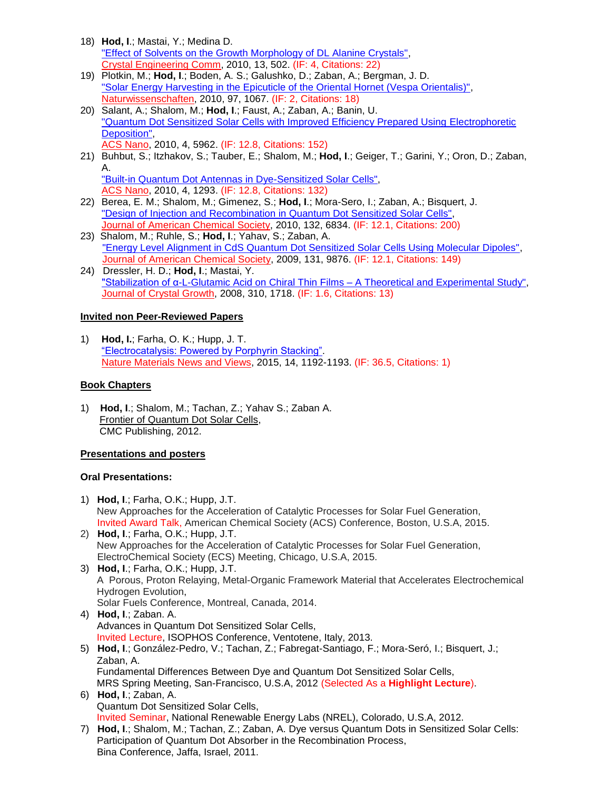- 18) **Hod, I**.; Mastai, Y.; Medina D. ["Effect of Solvents on the Growth Morphology of DL Alanine Crystals",](http://pubs.rsc.org/en/Content/ArticleLanding/2011/CE/C0CE00133C#!divAbstract) Crystal Engineering Comm, 2010, 13, 502. (IF: 4, Citations: 22)
- 19) Plotkin, M.; **Hod, I**.; Boden, A. S.; Galushko, D.; Zaban, A.; Bergman, J. D. ["Solar Energy Harvesting in the Epicuticle of the Oriental Hornet \(Vespa Orientalis\)",](http://link.springer.com/article/10.1007%2Fs00114-010-0728-1) Naturwissenschaften, 2010, 97, 1067. (IF: 2, Citations: 18)
- 20) Salant, A.; Shalom, M.; **Hod, I**.; Faust, A.; Zaban, A.; Banin, U. ["Quantum Dot Sensitized Solar Cells with Improved Efficiency Prepared Using](http://pubs.acs.org/doi/abs/10.1021/nn1018208) Electrophoretic [Deposition",](http://pubs.acs.org/doi/abs/10.1021/nn1018208) ACS Nano, 2010, 4, 5962. (IF: 12.8, Citations: 152)
- 21) Buhbut, S.; Itzhakov, S.; Tauber, E.; Shalom, M.; **Hod, I**.; Geiger, T.; Garini, Y.; Oron, D.; Zaban, A. ["Built-in Quantum Dot Antennas in Dye-Sensitized Solar Cells",](http://pubs.acs.org/doi/abs/10.1021/nn100021b)
	- ACS Nano, 2010, 4, 1293. (IF: 12.8, Citations: 132)
- 22) Berea, E. M.; Shalom, M.; Gimenez, S.; **Hod, I**.; Mora-Sero, I.; Zaban, A.; Bisquert, J. ["Design of Injection and Recombination in Quantum Dot Sensitized Solar Cells",](http://pubs.acs.org/doi/abs/10.1021/ja101752d) Journal of American Chemical Society, 2010, 132, 6834. (IF: 12.1, Citations: 200)
- 23) Shalom, M.; Ruhle, S.; **Hod, I**.; Yahav, S.; Zaban, A. ["Energy Level Alignment in CdS Quantum Dot Sensitized Solar Cells Using Molecular Dipoles",](http://pubs.acs.org/doi/abs/10.1021/ja902770k) Journal of American Chemical Society, 2009, 131, 9876. (IF: 12.1, Citations: 149)
- 24) Dressler, H. D.; **Hod, I**.; Mastai, Y. ["Stabilization of α-L-Glutamic Acid on Chiral Thin Films –](http://www.sciencedirect.com/science/article/pii/S0022024807009608) A Theoretical and Experimental Study", Journal of Crystal Growth, 2008, 310, 1718. (IF: 1.6, Citations: 13)

# **Invited non Peer-Reviewed Papers**

1) **Hod, I.**; Farha, O. K.; Hupp, J. T. ["Electrocatalysis: Powered by Porphyrin Stacking".](http://www.nature.com/nmat/journal/v14/n12/full/nmat4494.html?message-global=remove) Nature Materials News and Views, 2015, 14, 1192-1193. (IF: 36.5, Citations: 1)

# **Book Chapters**

1) **Hod, I**.; Shalom, M.; Tachan, Z.; Yahav S.; Zaban A. Frontier of Quantum Dot Solar Cells, CMC Publishing, 2012.

## **Presentations and posters**

## **Oral Presentations:**

- 1) **Hod, I**.; Farha, O.K.; Hupp, J.T. New Approaches for the Acceleration of Catalytic Processes for Solar Fuel Generation, Invited Award Talk, American Chemical Society (ACS) Conference, Boston, U.S.A, 2015. 2) **Hod, I**.; Farha, O.K.; Hupp, J.T.
- New Approaches for the Acceleration of Catalytic Processes for Solar Fuel Generation, ElectroChemical Society (ECS) Meeting, Chicago, U.S.A, 2015.
- 3) **Hod, I**.; Farha, O.K.; Hupp, J.T. A Porous, Proton Relaying, Metal-Organic Framework Material that Accelerates Electrochemical Hydrogen Evolution, Solar Fuels Conference, Montreal, Canada, 2014.
- 4) **Hod, I**.; Zaban. A. Advances in Quantum Dot Sensitized Solar Cells, Invited Lecture, ISOPHOS Conference, Ventotene, Italy, 2013. 5) **Hod, I**.; González-Pedro, V.; Tachan, Z.; Fabregat-Santiago, F.; Mora-Seró, I.; Bisquert, J.;
- Zaban, A. Fundamental Differences Between Dye and Quantum Dot Sensitized Solar Cells, MRS Spring Meeting, San-Francisco, U.S.A, 2012 (Selected As a **Highlight Lecture**).
- 6) **Hod, I**.; Zaban, A. Quantum Dot Sensitized Solar Cells, Invited Seminar, National Renewable Energy Labs (NREL), Colorado, U.S.A, 2012.
- 7) **Hod, I**.; Shalom, M.; Tachan, Z.; Zaban, A. Dye versus Quantum Dots in Sensitized Solar Cells: Participation of Quantum Dot Absorber in the Recombination Process, Bina Conference, Jaffa, Israel, 2011.